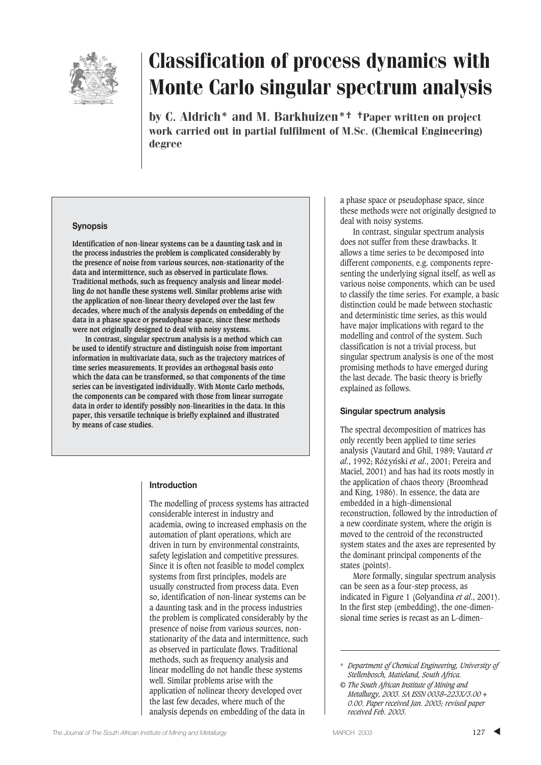

by C. Aldrich\* and M. Barkhuizen\*† †Paper written on project work carried out in partial fulfilment of M.Sc. (Chemical Engineering) degree

#### **Synopsis**

**Identification of non-linear systems can be a daunting task and in the process industries the problem is complicated considerably by the presence of noise from various sources, non-stationarity of the data and intermittence, such as observed in particulate flows. Traditional methods, such as frequency analysis and linear modelling do not handle these systems well. Similar problems arise with the application of non-linear theory developed over the last few decades, where much of the analysis depends on embedding of the data in a phase space or pseudophase space, since these methods were not originally designed to deal with noisy systems.** 

**In contrast, singular spectrum analysis is a method which can be used to identify structure and distinguish noise from important information in multivariate data, such as the trajectory matrices of time series measurements. It provides an orthogonal basis onto which the data can be transformed, so that components of the time series can be investigated individually. With Monte Carlo methods, the components can be compared with those from linear surrogate data in order to identify possibly non-linearities in the data. In this paper, this versatile technique is briefly explained and illustrated by means of case studies.**

#### **Introduction**

The modelling of process systems has attracted considerable interest in industry and academia, owing to increased emphasis on the automation of plant operations, which are driven in turn by environmental constraints, safety legislation and competitive pressures. Since it is often not feasible to model complex systems from first principles, models are usually constructed from process data. Even so, identification of non-linear systems can be a daunting task and in the process industries the problem is complicated considerably by the presence of noise from various sources, nonstationarity of the data and intermittence, such as observed in particulate flows. Traditional methods, such as frequency analysis and linear modelling do not handle these systems well. Similar problems arise with the application of nolinear theory developed over the last few decades, where much of the analysis depends on embedding of the data in

a phase space or pseudophase space, since these methods were not originally designed to deal with noisy systems.

In contrast, singular spectrum analysis does not suffer from these drawbacks. It allows a time series to be decomposed into different components, e.g. components representing the underlying signal itself, as well as various noise components, which can be used to classify the time series. For example, a basic distinction could be made between stochastic and deterministic time series, as this would have major implications with regard to the modelling and control of the system. Such classification is not a trivial process, but singular spectrum analysis is one of the most promising methods to have emerged during the last decade. The basic theory is briefly explained as follows.

#### **Singular spectrum analysis**

The spectral decomposition of matrices has only recently been applied to time series analysis (Vautard and Ghil, 1989; Vautard *et al.*, 1992; Różyński *et al.*, 2001; Pereira and Maciel, 2001) and has had its roots mostly in the application of chaos theory (Broomhead and King, 1986). In essence, the data are embedded in a high-dimensional reconstruction, followed by the introduction of a new coordinate system, where the origin is moved to the centroid of the reconstructed system states and the axes are represented by the dominant principal components of the states (points).

More formally, singular spectrum analysis can be seen as a four-step process, as indicated in Figure 1 (Golyandina *et al*., 2001). In the first step (embedding), the one-dimensional time series is recast as an L-dimen-

<sup>\*</sup> *Department of Chemical Engineering, University of Stellenbosch, Matieland, South Africa.*

*<sup>©</sup> The South African Institute of Mining and Metallurgy, 2003. SA ISSN 0038–223X/3.00 + 0.00. Paper received Jan. 2003; revised paper received Feb. 2003.*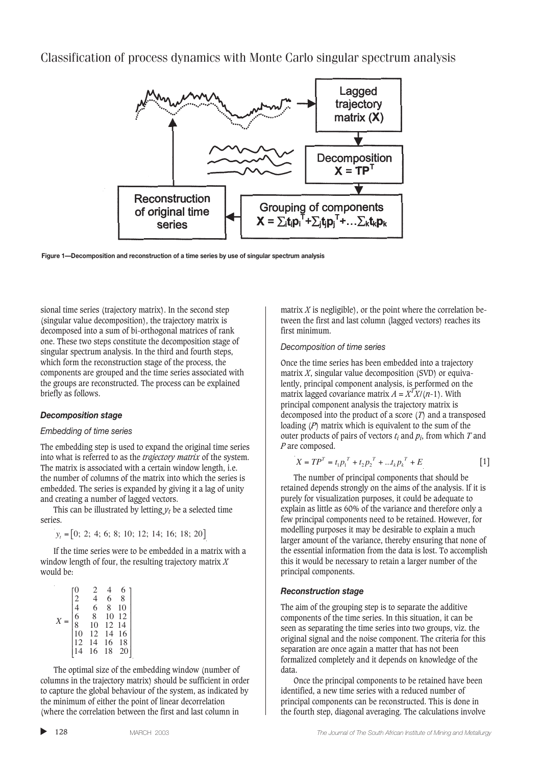

**Figure 1—Decomposition and reconstruction of a time series by use of singular spectrum analysis**

sional time series (trajectory matrix). In the second step (singular value decomposition), the trajectory matrix is decomposed into a sum of bi-orthogonal matrices of rank one. These two steps constitute the decomposition stage of singular spectrum analysis. In the third and fourth steps, which form the reconstruction stage of the process, the components are grouped and the time series associated with the groups are reconstructed. The process can be explained briefly as follows.

#### *Decomposition stage*

#### *Embedding of time series*

The embedding step is used to expand the original time series into what is referred to as the *trajectory matrix* of the system. The matrix is associated with a certain window length, i.e. the number of columns of the matrix into which the series is embedded. The series is expanded by giving it a lag of unity and creating a number of lagged vectors.

This can be illustrated by letting  $y_t$  be a selected time series.

 $y_i = [0; 2; 4; 6; 8; 10; 12; 14; 16; 18; 20]$ 

If the time series were to be embedded in a matrix with a window length of four, the resulting trajectory matrix *X* would be:

|  | $\overline{c}$ | 4     | 6  | 8  |
|--|----------------|-------|----|----|
|  |                | 6     | 8  | 10 |
|  | 6              | $8\,$ | 10 | 12 |
|  | $\bar{8}$      | 10    | 12 | 14 |
|  |                | 12    | 14 | 16 |
|  |                | 14    | 16 | 18 |
|  |                | 16    | 18 |    |
|  |                |       |    |    |

The optimal size of the embedding window (number of columns in the trajectory matrix) should be sufficient in order to capture the global behaviour of the system, as indicated by the minimum of either the point of linear decorrelation (where the correlation between the first and last column in

matrix *X* is negligible), or the point where the correlation between the first and last column (lagged vectors) reaches its first minimum.

#### *Decomposition of time series*

Once the time series has been embedded into a trajectory matrix *X*, singular value decomposition (SVD) or equivalently, principal component analysis, is performed on the matrix lagged covariance matrix  $A = X^T X/(n-1)$ . With principal component analysis the trajectory matrix is decomposed into the product of a score (*T*) and a transposed loading (*P*) matrix which is equivalent to the sum of the outer products of pairs of vectors *ti* and *pi*, from which *T* and *P* are composed.

$$
X = TP^{T} = t_1 p_1^{T} + t_2 p_2^{T} + ... t_k p_k^{T} + E
$$
 [1]

The number of principal components that should be retained depends strongly on the aims of the analysis. If it is purely for visualization purposes, it could be adequate to explain as little as 60% of the variance and therefore only a few principal components need to be retained. However, for modelling purposes it may be desirable to explain a much larger amount of the variance, thereby ensuring that none of the essential information from the data is lost. To accomplish this it would be necessary to retain a larger number of the principal components.

#### *Reconstruction stage*

The aim of the grouping step is to separate the additive components of the time series. In this situation, it can be seen as separating the time series into two groups, viz. the original signal and the noise component. The criteria for this separation are once again a matter that has not been formalized completely and it depends on knowledge of the data.

Once the principal components to be retained have been identified, a new time series with a reduced number of principal components can be reconstructed. This is done in the fourth step, diagonal averaging. The calculations involve

▲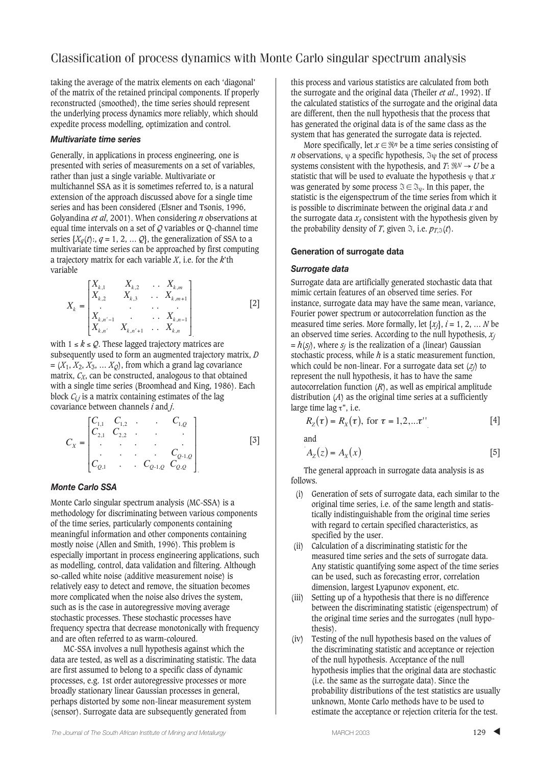taking the average of the matrix elements on each 'diagonal' of the matrix of the retained principal components. If properly reconstructed (smoothed), the time series should represent the underlying process dynamics more reliably, which should expedite process modelling, optimization and control.

#### *Multivariate time series*

Generally, in applications in process engineering, one is presented with series of measurements on a set of variables, rather than just a single variable. Multivariate or multichannel SSA as it is sometimes referred to, is a natural extension of the approach discussed above for a single time series and has been considered (Elsner and Tsonis, 1996, Golyandina *et al*, 2001). When considering *n* observations at equal time intervals on a set of *Q* variables or Q-channel time series  $\{X_q(t); q = 1, 2, \ldots Q\}$ , the generalization of SSA to a multivariate time series can be approached by first computing a trajectory matrix for each variable *X*, i.e. for the *k*'th variable

$$
X_{k} = \begin{bmatrix} X_{k,1} & X_{k,2} & \dots & X_{k,m} \\ X_{k,2} & X_{k,3} & \dots & X_{k,m+1} \\ \vdots & \vdots & \ddots & \vdots \\ X_{k,n'-1} & X_{k,n'+1} & \dots & X_{k,n} \end{bmatrix}
$$
[2]

with  $1 \le k \le \mathcal{Q}$ . These lagged trajectory matrices are subsequently used to form an augmented trajectory matrix, *D*  $=(X_1, X_2, X_3, \ldots, X_Q)$ , from which a grand lag covariance matrix,  $C_X$ , can be constructed, analogous to that obtained with a single time series (Broomhead and King, 1986). Each block  $C_{i,j}$  is a matrix containing estimates of the lag covariance between channels *i* and *j*.

$$
C_{X} = \begin{bmatrix} C_{1,1} & C_{1,2} & \cdots & C_{1,Q} \\ C_{2,1} & C_{2,2} & \cdots & \cdots \\ \vdots & \vdots & \ddots & \vdots \\ C_{Q,1} & \cdots & C_{Q-1,Q} & C_{Q,Q} \end{bmatrix}
$$
 [3]

#### *Monte Carlo SSA*

Monte Carlo singular spectrum analysis (MC-SSA) is a methodology for discriminating between various components of the time series, particularly components containing meaningful information and other components containing mostly noise (Allen and Smith, 1996). This problem is especially important in process engineering applications, such as modelling, control, data validation and filtering. Although so-called white noise (additive measurement noise) is relatively easy to detect and remove, the situation becomes more complicated when the noise also drives the system, such as is the case in autoregressive moving average stochastic processes. These stochastic processes have frequency spectra that decrease monotonically with frequency and are often referred to as warm-coloured.

MC-SSA involves a null hypothesis against which the data are tested, as well as a discriminating statistic. The data are first assumed to belong to a specific class of dynamic processes, e.g. 1st order autoregressive processes or more broadly stationary linear Gaussian processes in general, perhaps distorted by some non-linear measurement system (sensor). Surrogate data are subsequently generated from

this process and various statistics are calculated from both the surrogate and the original data (Theiler *et al*., 1992). If the calculated statistics of the surrogate and the original data are different, then the null hypothesis that the process that has generated the original data is of the same class as the system that has generated the surrogate data is rejected.

More specifically, let  $x \in \Re^n$  be a time series consisting of *n* observations,  $\psi$  a specific hypothesis,  $\Im \psi$  the set of process systems consistent with the hypothesis, and  $T: \Re N \to U$  be a statistic that will be used to evaluate the hypothesis  $\psi$  that *x* was generated by some process  $\mathfrak{F} \in \mathfrak{S}_{\psi}$ . In this paper, the statistic is the eigenspectrum of the time series from which it is possible to discriminate between the original data *x* and the surrogate data  $x_s$  consistent with the hypothesis given by the probability density of *T*, given  $\Im$ , i.e.  $p_{T,S}(t)$ .

#### **Generation of surrogate data**

#### *Surrogate data*

Surrogate data are artificially generated stochastic data that mimic certain features of an observed time series. For instance, surrogate data may have the same mean, variance, Fourier power spectrum or autocorrelation function as the measured time series. More formally, let  $\{x_i\}$ ,  $i = 1, 2, \dots N$  be an observed time series. According to the null hypothesis,  $x_i$  $= h(s_i)$ , where  $s_i$  is the realization of a (linear) Gaussian stochastic process, while *h* is a static measurement function, which could be non-linear. For a surrogate data set (*zj*) to represent the null hypothesis, it has to have the same autocorrelation function  $(R)$ , as well as empirical amplitude distribution (*A*) as the original time series at a sufficiently large time lag  $τ$ ", i.e.

$$
R_{Z}(\tau) = R_{X}(\tau), \text{ for } \tau = 1, 2, ... \tau
$$
\n[4]

and

$$
A_{Z}(z) = A_{X}(x) \tag{5}
$$

The general approach in surrogate data analysis is as follows.

- (i) Generation of sets of surrogate data, each similar to the original time series, i.e. of the same length and statistically indistinguishable from the original time series with regard to certain specified characteristics, as specified by the user.
- (ii) Calculation of a discriminating statistic for the measured time series and the sets of surrogate data. Any statistic quantifying some aspect of the time series can be used, such as forecasting error, correlation dimension, largest Lyapunov exponent, etc.
- (iii) Setting up of a hypothesis that there is no difference between the discriminating statistic (eigenspectrum) of the original time series and the surrogates (null hypothesis).
- (iv) Testing of the null hypothesis based on the values of the discriminating statistic and acceptance or rejection of the null hypothesis. Acceptance of the null hypothesis implies that the original data are stochastic (i.e. the same as the surrogate data). Since the probability distributions of the test statistics are usually unknown, Monte Carlo methods have to be used to estimate the acceptance or rejection criteria for the test.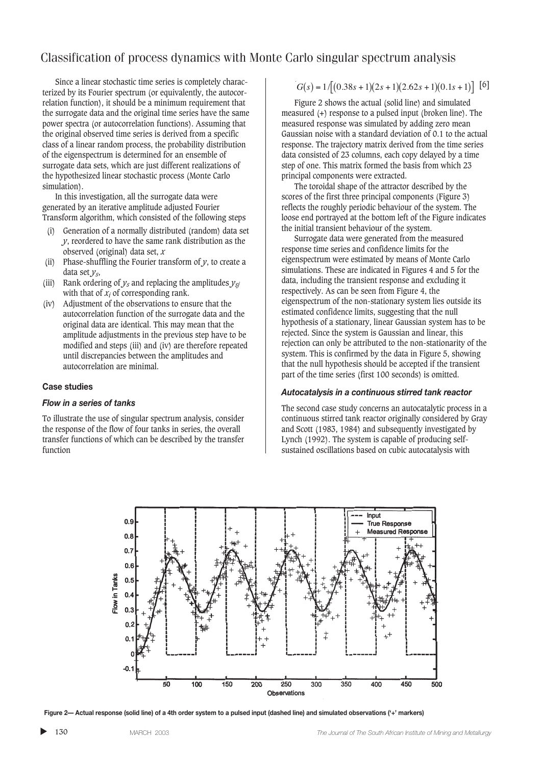Since a linear stochastic time series is completely characterized by its Fourier spectrum (or equivalently, the autocorrelation function), it should be a minimum requirement that the surrogate data and the original time series have the same power spectra (or autocorrelation functions). Assuming that the original observed time series is derived from a specific class of a linear random process, the probability distribution of the eigenspectrum is determined for an ensemble of surrogate data sets, which are just different realizations of the hypothesized linear stochastic process (Monte Carlo simulation).

In this investigation, all the surrogate data were generated by an iterative amplitude adjusted Fourier Transform algorithm, which consisted of the following steps

- (i) Generation of a normally distributed (random) data set *y*, reordered to have the same rank distribution as the observed (original) data set, *x*
- (ii) Phase-shuffling the Fourier transform of  $y$ , to create a data set *ys*,
- (iii) Rank ordering of  $y_s$  and replacing the amplitudes  $y_{si}$ with that of  $x_i$  of corresponding rank.
- (iv) Adjustment of the observations to ensure that the autocorrelation function of the surrogate data and the original data are identical. This may mean that the amplitude adjustments in the previous step have to be modified and steps (iii) and (iv) are therefore repeated until discrepancies between the amplitudes and autocorrelation are minimal.

#### **Case studies**

#### *Flow in a series of tanks*

To illustrate the use of singular spectrum analysis, consider the response of the flow of four tanks in series, the overall transfer functions of which can be described by the transfer function

$$
G(s) = 1/[(0.38s + 1)(2s + 1)(2.62s + 1)(0.1s + 1)] [6]
$$

Figure 2 shows the actual (solid line) and simulated measured (+) response to a pulsed input (broken line). The measured response was simulated by adding zero mean Gaussian noise with a standard deviation of 0.1 to the actual response. The trajectory matrix derived from the time series data consisted of 23 columns, each copy delayed by a time step of one. This matrix formed the basis from which 23 principal components were extracted.

The toroidal shape of the attractor described by the scores of the first three principal components (Figure 3) reflects the roughly periodic behaviour of the system. The loose end portrayed at the bottom left of the Figure indicates the initial transient behaviour of the system.

Surrogate data were generated from the measured response time series and confidence limits for the eigenspectrum were estimated by means of Monte Carlo simulations. These are indicated in Figures 4 and 5 for the data, including the transient response and excluding it respectively. As can be seen from Figure 4, the eigenspectrum of the non-stationary system lies outside its estimated confidence limits, suggesting that the null hypothesis of a stationary, linear Gaussian system has to be rejected. Since the system is Gaussian and linear, this rejection can only be attributed to the non-stationarity of the system. This is confirmed by the data in Figure 5, showing that the null hypothesis should be accepted if the transient part of the time series (first 100 seconds) is omitted.

#### *Autocatalysis in a continuous stirred tank reactor*

The second case study concerns an autocatalytic process in a continuous stirred tank reactor originally considered by Gray and Scott (1983, 1984) and subsequently investigated by Lynch (1992). The system is capable of producing selfsustained oscillations based on cubic autocatalysis with



**Figure 2— Actual response (solid line) of a 4th order system to a pulsed input (dashed line) and simulated observations ('+' markers)**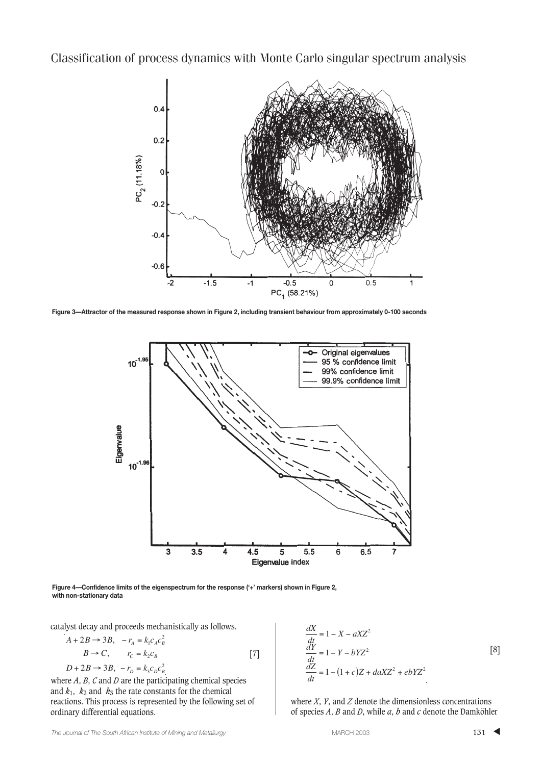

**Figure 3—Attractor of the measured response shown in Figure 2, including transient behaviour from approximately 0-100 seconds**



**Figure 4—Confidence limits of the eigenspectrum for the response ('+' markers) shown in Figure 2, with non-stationary data**

catalyst decay and proceeds mechanistically as follows.

$$
A + 2B \rightarrow 3B, \quad -r_A = k_1 c_A c_B^2
$$
  
\n
$$
B \rightarrow C, \qquad r_C = k_2 c_B
$$
  
\n
$$
D + 2B \rightarrow 3B, \quad -r_D = k_3 c_D c_B^2
$$
\n
$$
\tag{7}
$$

where *A*, *B*, *C* and *D* are the participating chemical species and  $k_1$ ,  $k_2$  and  $k_3$  the rate constants for the chemical reactions. This process is represented by the following set of ordinary differential equations.

$$
\frac{dX}{dt} = 1 - X - aXZ^{2}
$$
\n
$$
\frac{dY}{dt} = 1 - Y - bYZ^{2}
$$
\n
$$
\frac{dZ}{dt} = 1 - (1 + c)Z + daXZ^{2} + ebYZ^{2}
$$
\n[8]

where *X*, *Y*, and *Z* denote the dimensionless concentrations of species *A*, *B* and *D*, while *a*, *b* and *c* denote the Damköhler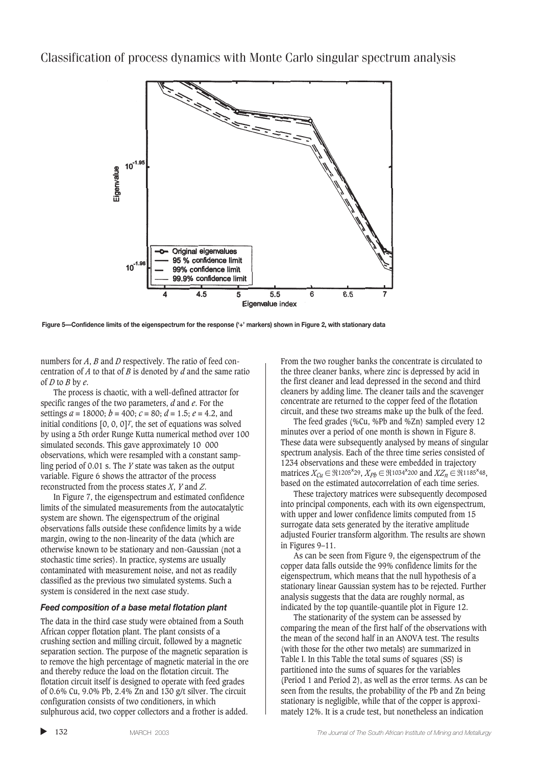

**Figure 5—Confidence limits of the eigenspectrum for the response ('+' markers) shown in Figure 2, with stationary data**

numbers for *A*, *B* and *D* respectively. The ratio of feed concentration of *A* to that of *B* is denoted by *d* and the same ratio of *D* to *B* by *e*.

The process is chaotic, with a well-defined attractor for specific ranges of the two parameters, *d* and *e*. For the settings  $a = 18000$ ;  $b = 400$ ;  $c = 80$ ;  $d = 1.5$ ;  $e = 4.2$ , and initial conditions [0, 0, 0]*T*, the set of equations was solved by using a 5th order Runge Kutta numerical method over 100 simulated seconds. This gave approximately 10 000 observations, which were resampled with a constant sampling period of 0.01 s. The *Y* state was taken as the output variable. Figure 6 shows the attractor of the process reconstructed from the process states *X*, *Y* and *Z*.

In Figure 7, the eigenspectrum and estimated confidence limits of the simulated measurements from the autocatalytic system are shown. The eigenspectrum of the original observations falls outside these confidence limits by a wide margin, owing to the non-linearity of the data (which are otherwise known to be stationary and non-Gaussian (not a stochastic time series). In practice, systems are usually contaminated with measurement noise, and not as readily classified as the previous two simulated systems. Such a system is considered in the next case study.

#### *Feed composition of a base metal flotation plant*

The data in the third case study were obtained from a South African copper flotation plant. The plant consists of a crushing section and milling circuit, followed by a magnetic separation section. The purpose of the magnetic separation is to remove the high percentage of magnetic material in the ore and thereby reduce the load on the flotation circuit. The flotation circuit itself is designed to operate with feed grades of 0.6% Cu, 9.0% Pb, 2.4% Zn and 130 g/t silver. The circuit configuration consists of two conditioners, in which sulphurous acid, two copper collectors and a frother is added.

From the two rougher banks the concentrate is circulated to the three cleaner banks, where zinc is depressed by acid in the first cleaner and lead depressed in the second and third cleaners by adding lime. The cleaner tails and the scavenger concentrate are returned to the copper feed of the flotation circuit, and these two streams make up the bulk of the feed.

The feed grades (%Cu, %Pb and %Zn) sampled every 12 minutes over a period of one month is shown in Figure 8. These data were subsequently analysed by means of singular spectrum analysis. Each of the three time series consisted of 1234 observations and these were embedded in trajectory matrices  $X_{Cu}$  ∈  $\mathfrak{R}$ 1205<sup>x</sup>29,  $X_{Pb}$  ∈  $\mathfrak{R}$ 1034<sup>x</sup>200 and  $XZ_n$  ∈  $\mathfrak{R}$ 1185<sup>x</sup>48, based on the estimated autocorrelation of each time series.

These trajectory matrices were subsequently decomposed into principal components, each with its own eigenspectrum, with upper and lower confidence limits computed from 15 surrogate data sets generated by the iterative amplitude adjusted Fourier transform algorithm. The results are shown in Figures 9–11.

As can be seen from Figure 9, the eigenspectrum of the copper data falls outside the 99% confidence limits for the eigenspectrum, which means that the null hypothesis of a stationary linear Gaussian system has to be rejected. Further analysis suggests that the data are roughly normal, as indicated by the top quantile-quantile plot in Figure 12.

The stationarity of the system can be assessed by comparing the mean of the first half of the observations with the mean of the second half in an ANOVA test. The results (with those for the other two metals) are summarized in Table I. In this Table the total sums of squares (SS) is partitioned into the sums of squares for the variables (Period 1 and Period 2), as well as the error terms. As can be seen from the results, the probability of the Pb and Zn being stationary is negligible, while that of the copper is approximately 12%. It is a crude test, but nonetheless an indication

▲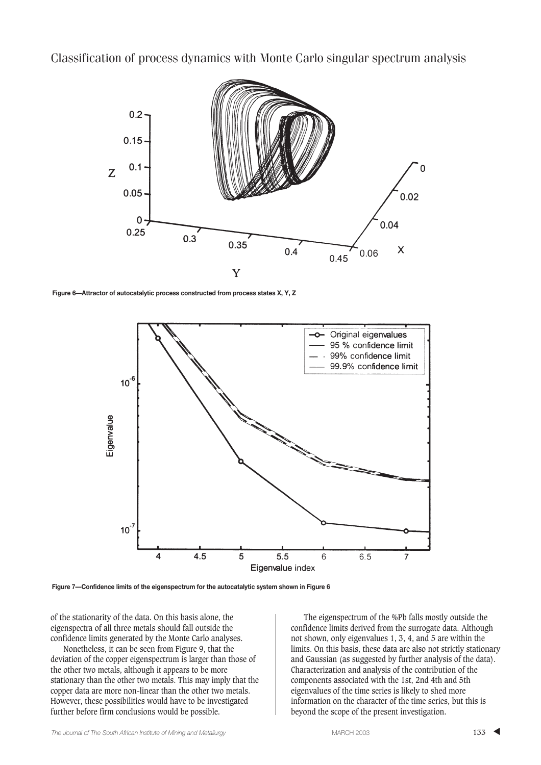

**Figure 6—Attractor of autocatalytic process constructed from process states X, Y, Z**



**Figure 7—Confidence limits of the eigenspectrum for the autocatalytic system shown in Figure 6**

of the stationarity of the data. On this basis alone, the eigenspectra of all three metals should fall outside the confidence limits generated by the Monte Carlo analyses.

Nonetheless, it can be seen from Figure 9, that the deviation of the copper eigenspectrum is larger than those of the other two metals, although it appears to be more stationary than the other two metals. This may imply that the copper data are more non-linear than the other two metals. However, these possibilities would have to be investigated further before firm conclusions would be possible.

The eigenspectrum of the %Pb falls mostly outside the confidence limits derived from the surrogate data. Although not shown, only eigenvalues 1, 3, 4, and 5 are within the limits. On this basis, these data are also not strictly stationary and Gaussian (as suggested by further analysis of the data). Characterization and analysis of the contribution of the components associated with the 1st, 2nd 4th and 5th eigenvalues of the time series is likely to shed more information on the character of the time series, but this is beyond the scope of the present investigation.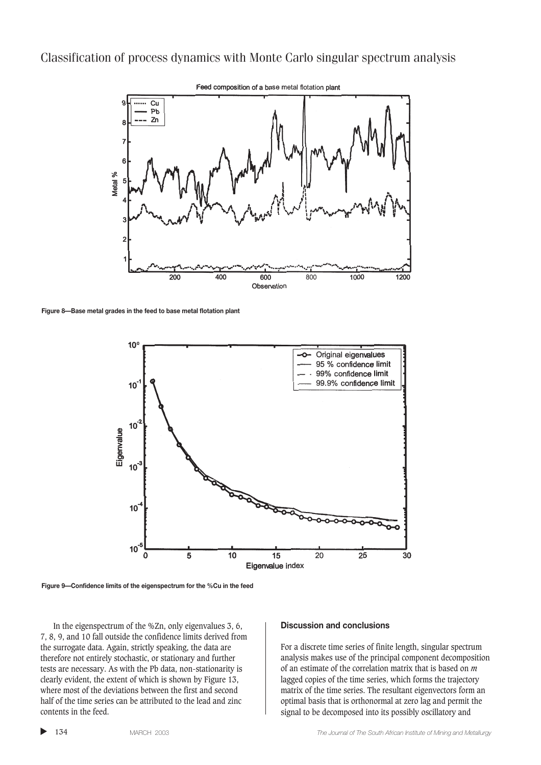

**Figure 8—Base metal grades in the feed to base metal flotation plant**



**Figure 9—Confidence limits of the eigenspectrum for the %Cu in the feed**

In the eigenspectrum of the %Zn, only eigenvalues 3, 6, 7, 8, 9, and 10 fall outside the confidence limits derived from the surrogate data. Again, strictly speaking, the data are therefore not entirely stochastic, or stationary and further tests are necessary. As with the Pb data, non-stationarity is clearly evident, the extent of which is shown by Figure 13, where most of the deviations between the first and second half of the time series can be attributed to the lead and zinc contents in the feed.

#### **Discussion and conclusions**

For a discrete time series of finite length, singular spectrum analysis makes use of the principal component decomposition of an estimate of the correlation matrix that is based on *m* lagged copies of the time series, which forms the trajectory matrix of the time series. The resultant eigenvectors form an optimal basis that is orthonormal at zero lag and permit the signal to be decomposed into its possibly oscillatory and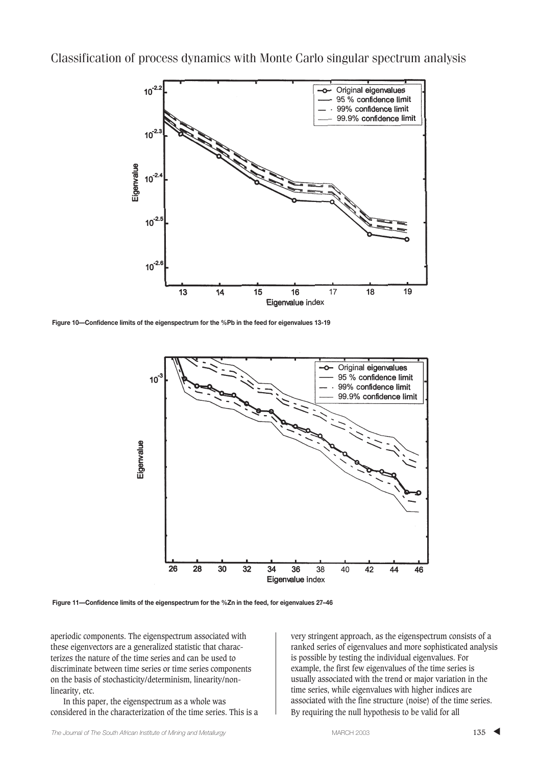

**Figure 10—Confidence limits of the eigenspectrum for the %Pb in the feed for eigenvalues 13-19**



**Figure 11—Confidence limits of the eigenspectrum for the %Zn in the feed, for eigenvalues 27–46**

aperiodic components. The eigenspectrum associated with these eigenvectors are a generalized statistic that characterizes the nature of the time series and can be used to discriminate between time series or time series components on the basis of stochasticity/determinism, linearity/nonlinearity, etc.

In this paper, the eigenspectrum as a whole was considered in the characterization of the time series. This is a very stringent approach, as the eigenspectrum consists of a ranked series of eigenvalues and more sophisticated analysis is possible by testing the individual eigenvalues. For example, the first few eigenvalues of the time series is usually associated with the trend or major variation in the time series, while eigenvalues with higher indices are associated with the fine structure (noise) of the time series. By requiring the null hypothesis to be valid for all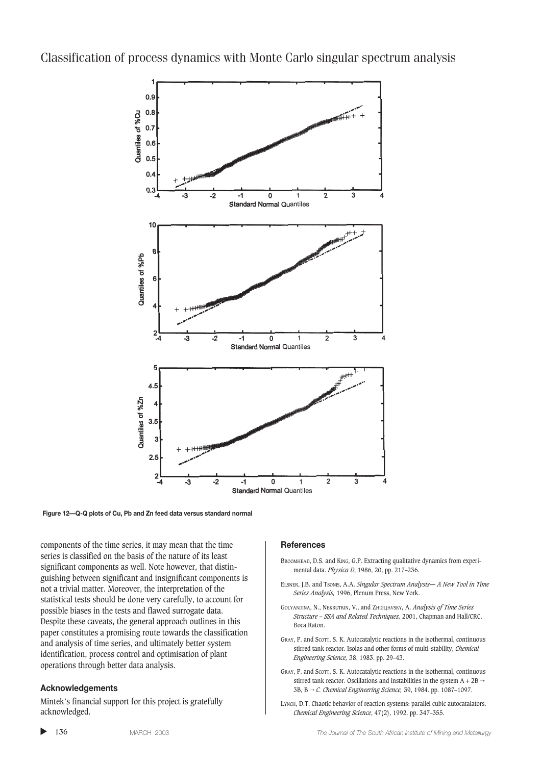

**Figure 12—Q-Q plots of Cu, Pb and Zn feed data versus standard normal**

components of the time series, it may mean that the time series is classified on the basis of the nature of its least significant components as well. Note however, that distinguishing between significant and insignificant components is not a trivial matter. Moreover, the interpretation of the statistical tests should be done very carefully, to account for possible biases in the tests and flawed surrogate data. Despite these caveats, the general approach outlines in this paper constitutes a promising route towards the classification and analysis of time series, and ultimately better system identification, process control and optimisation of plant operations through better data analysis.

#### **Acknowledgements**

Mintek's financial support for this project is gratefully acknowledged.

#### **References**

- BROOMHEAD, D.S. and KING, G.P. Extracting qualitative dynamics from experimental data. *Physica D*, 1986, 20, pp. 217–236.
- ELSNER, J.B. and TSONIS, A.A. *Singular Spectrum Analysis— A New Tool in Time Series Analysis,* 1996, Plenum Press, New York.
- GOLYANDINA, N., NEKRUTKIN, V., and ZHIGLJAVSKY, A. *Analysis of Time Series Structure – SSA and Related Techniques,* 2001, Chapman and Hall/CRC, Boca Raton.
- GRAY, P. and SCOTT, S. K. Autocatalytic reactions in the isothermal, continuous stirred tank reactor. Isolas and other forms of multi-stability, *Chemical Engineering Science,* 38, 1983. pp. 29–43.
- GRAY, P. and SCOTT, S. K. Autocatalytic reactions in the isothermal, continuous stirred tank reactor. Oscillations and instabilities in the system A + 2B  $\rightarrow$ 3B, B → *C. Chemical Engineering Science,* 39, 1984. pp. 1087–1097.
- LYNCH, D.T. Chaotic behavior of reaction systems: parallel cubic autocatalators. *Chemical Engineering Science*, 47(2), 1992. pp. 347–355.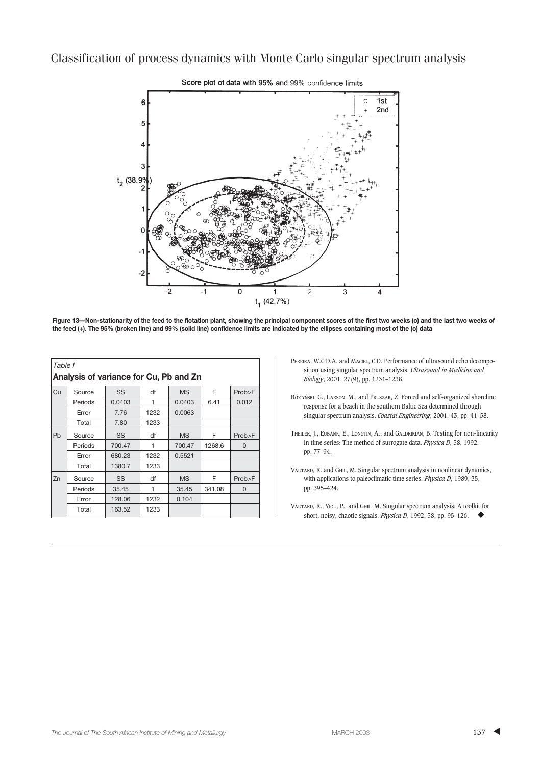

Score plot of data with 95% and 99% confidence limits

**Figure 13—Non-stationarity of the feed to the flotation plant, showing the principal component scores of the first two weeks (o) and the last two weeks of the feed (+). The 95% (broken line) and 99% (solid line) confidence limits are indicated by the ellipses containing most of the (o) data**

| Table I<br>Analysis of variance for Cu, Pb and Zn |         |           |      |           |        |          |  |  |  |
|---------------------------------------------------|---------|-----------|------|-----------|--------|----------|--|--|--|
| Cu                                                | Source  | SS        | df   | <b>MS</b> | F      | Prob>F   |  |  |  |
|                                                   | Periods | 0.0403    | 1    | 0.0403    | 6.41   | 0.012    |  |  |  |
|                                                   | Error   | 7.76      | 1232 | 0.0063    |        |          |  |  |  |
|                                                   | Total   | 7.80      | 1233 |           |        |          |  |  |  |
| Pb                                                | Source  | SS        | df   | <b>MS</b> | F      | Prob>F   |  |  |  |
|                                                   | Periods | 700.47    | 1    | 700.47    | 1268.6 | $\Omega$ |  |  |  |
|                                                   | Error   | 680.23    | 1232 | 0.5521    |        |          |  |  |  |
|                                                   | Total   | 1380.7    | 1233 |           |        |          |  |  |  |
| Zn                                                | Source  | <b>SS</b> | df   | <b>MS</b> | F      | Prob>F   |  |  |  |
|                                                   | Periods | 35.45     | 1    | 35.45     | 341.08 | $\Omega$ |  |  |  |
|                                                   | Error   | 128.06    | 1232 | 0.104     |        |          |  |  |  |
|                                                   | Total   | 163.52    | 1233 |           |        |          |  |  |  |

- PEREIRA, W.C.D.A. and MACIEL, C.D. Performance of ultrasound echo decomposition using singular spectrum analysis. *Ultrasound in Medicine and Biology*, 2001, 27(9), pp. 1231–1238.
- Róż YŃSKI, G., LARSON, M., and PRUSZAK, Z. Forced and self-organized shoreline response for a beach in the southern Baltic Sea determined through singular spectrum analysis. *Coastal Engineering*, 2001, 43, pp. 41–58.
- THEILER, J., EUBANK, E., LONGTIN, A., and GALDRIKIAN, B. Testing for non-linearity in time series: The method of surrogate data. *Physica D*, 58, 1992. pp. 77–94.
- VAUTARD, R. and GHIL, M. Singular spectrum analysis in nonlinear dynamics, with applications to paleoclimatic time series. *Physica D*, 1989, 35, pp. 395–424.
- VAUTARD, R., YIOU, P., and GHIL, M. Singular spectrum analysis: A toolkit for short, noisy, chaotic signals. *Physica D*, 1992, 58, pp. 95–126. ◆